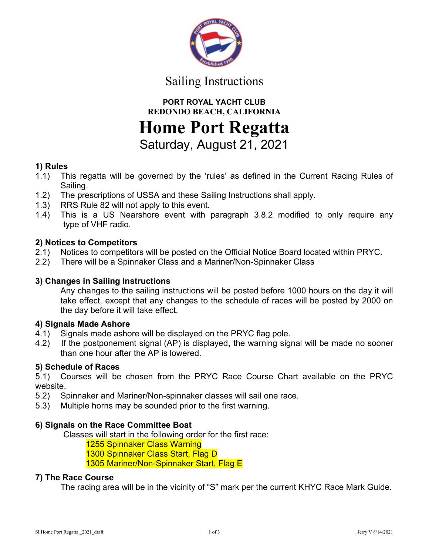

# Sailing Instructions

PORT ROYAL YACHT CLUB REDONDO BEACH, CALIFORNIA

Home Port Regatta

Saturday, August 21, 2021

# 1) Rules

- 1.1) This regatta will be governed by the 'rules' as defined in the Current Racing Rules of Sailing.
- 1.2) The prescriptions of USSA and these Sailing Instructions shall apply.
- 1.3) RRS Rule 82 will not apply to this event.
- 1.4) This is a US Nearshore event with paragraph 3.8.2 modified to only require any type of VHF radio.

# 2) Notices to Competitors

- 2.1) Notices to competitors will be posted on the Official Notice Board located within PRYC.
- 2.2) There will be a Spinnaker Class and a Mariner/Non-Spinnaker Class

# 3) Changes in Sailing Instructions

 Any changes to the sailing instructions will be posted before 1000 hours on the day it will take effect, except that any changes to the schedule of races will be posted by 2000 on the day before it will take effect.

## 4) Signals Made Ashore

- 4.1) Signals made ashore will be displayed on the PRYC flag pole.
- 4.2) If the postponement signal (AP) is displayed, the warning signal will be made no sooner than one hour after the AP is lowered.

# 5) Schedule of Races

5.1) Courses will be chosen from the PRYC Race Course Chart available on the PRYC website.

- 5.2) Spinnaker and Mariner/Non-spinnaker classes will sail one race.
- 5.3) Multiple horns may be sounded prior to the first warning.

## 6) Signals on the Race Committee Boat

Classes will start in the following order for the first race:

1255 Spinnaker Class Warning

1300 Spinnaker Class Start, Flag D

1305 Mariner/Non-Spinnaker Start, Flag E

## 7) The Race Course

The racing area will be in the vicinity of "S" mark per the current KHYC Race Mark Guide.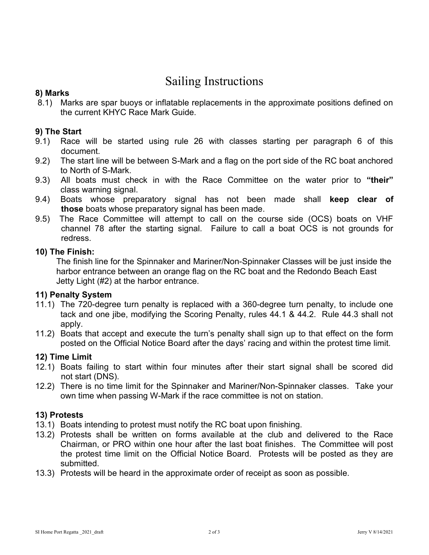# Sailing Instructions

### 8) Marks

 8.1) Marks are spar buoys or inflatable replacements in the approximate positions defined on the current KHYC Race Mark Guide.

#### 9) The Start

- 9.1) Race will be started using rule 26 with classes starting per paragraph 6 of this document.
- 9.2) The start line will be between S-Mark and a flag on the port side of the RC boat anchored to North of S-Mark.
- 9.3) All boats must check in with the Race Committee on the water prior to "their" class warning signal.
- 9.4) Boats whose preparatory signal has not been made shall keep clear of those boats whose preparatory signal has been made.
- 9.5) The Race Committee will attempt to call on the course side (OCS) boats on VHF channel 78 after the starting signal. Failure to call a boat OCS is not grounds for redress.

#### 10) The Finish:

The finish line for the Spinnaker and Mariner/Non-Spinnaker Classes will be just inside the harbor entrance between an orange flag on the RC boat and the Redondo Beach East Jetty Light (#2) at the harbor entrance.

#### 11) Penalty System

- 11.1) The 720-degree turn penalty is replaced with a 360-degree turn penalty, to include one tack and one jibe, modifying the Scoring Penalty, rules 44.1 & 44.2. Rule 44.3 shall not apply.
- 11.2) Boats that accept and execute the turn's penalty shall sign up to that effect on the form posted on the Official Notice Board after the days' racing and within the protest time limit.

#### 12) Time Limit

- 12.1) Boats failing to start within four minutes after their start signal shall be scored did not start (DNS).
- 12.2) There is no time limit for the Spinnaker and Mariner/Non-Spinnaker classes. Take your own time when passing W-Mark if the race committee is not on station.

## 13) Protests

- 13.1) Boats intending to protest must notify the RC boat upon finishing.
- 13.2) Protests shall be written on forms available at the club and delivered to the Race Chairman, or PRO within one hour after the last boat finishes. The Committee will post the protest time limit on the Official Notice Board. Protests will be posted as they are submitted.
- 13.3) Protests will be heard in the approximate order of receipt as soon as possible.